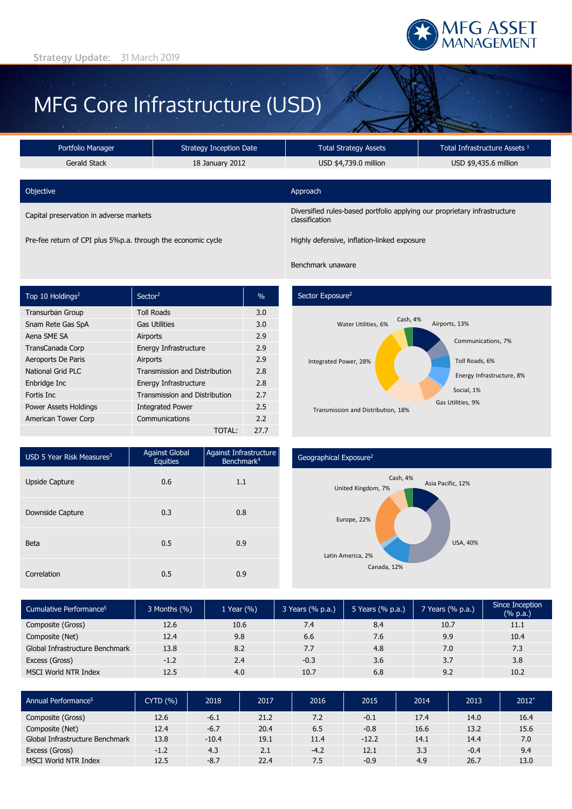

# MFG Core Infrastructure (USD)

| Portfolio Manager                                            | Strategy Inception Date | <b>Total Strategy Assets</b>                                                                | Total Infrastructure Assets 1 |  |
|--------------------------------------------------------------|-------------------------|---------------------------------------------------------------------------------------------|-------------------------------|--|
| Gerald Stack                                                 | 18 January 2012         | USD \$4,739.0 million                                                                       | USD \$9,435.6 million         |  |
| Objective                                                    |                         | Approach                                                                                    |                               |  |
| Capital preservation in adverse markets                      |                         | Diversified rules-based portfolio applying our proprietary infrastructure<br>classification |                               |  |
| Pre-fee return of CPI plus 5%p.a. through the economic cycle |                         | Highly defensive, inflation-linked exposure                                                 |                               |  |

| Top 10 Holdings <sup>2</sup> | Sector <sup>2</sup>           | $\frac{0}{0}$ |
|------------------------------|-------------------------------|---------------|
| Transurban Group             | <b>Toll Roads</b>             | 3.0           |
| Snam Rete Gas SpA            | <b>Gas Utilities</b>          | 3.0           |
| Aena SME SA                  | Airports                      | 2.9           |
| TransCanada Corp             | Energy Infrastructure         | 2.9           |
| Aeroports De Paris           | Airports                      | 2.9           |
| National Grid PLC            | Transmission and Distribution | 2.8           |
| Enbridge Inc                 | Energy Infrastructure         | 2.8           |
| Fortis Inc.                  | Transmission and Distribution | 2.7           |
| Power Assets Holdings        | <b>Integrated Power</b>       | 2.5           |
| American Tower Corp          | Communications                | 2.2           |
|                              | TOTAL:                        | 27.7          |

# Sector Exposure<sup>2</sup>

Benchmark unaware



| USD 5 Year Risk Measures $3$ | <b>Against Global</b><br><b>Equities</b> | Against Infrastructure<br>Benchmark <sup>4</sup> |
|------------------------------|------------------------------------------|--------------------------------------------------|
| <b>Upside Capture</b>        | 0.6                                      | 1.1                                              |
| Downside Capture             | 0.3                                      | 0.8                                              |
| <b>Beta</b>                  | 0.5                                      | 0.9                                              |
| Correlation                  | 0.5                                      | 0.9                                              |

#### Geographical Exposure2



| Cumulative Performance <sup>5</sup> | $3$ Months $(\% )$ | 1 Year (%) | 3 Years (% p.a.) | 5 Years (% p.a.) | 7 Years (% p.a.) | Since Inception<br>(% p.a.) |
|-------------------------------------|--------------------|------------|------------------|------------------|------------------|-----------------------------|
| Composite (Gross)                   | 12.6               | 10.6       | 7.4              | 8.4              | 10.7             | 11.1                        |
| Composite (Net)                     | 12.4               | 9.8        | 6.6              | 7.6              | 9.9              | 10.4                        |
| Global Infrastructure Benchmark     | 13.8               | 8.2        | 7.7              | 4.8              | 7.0              | 7.3                         |
| Excess (Gross)                      | $-1.2$             | 2.4        | $-0.3$           | 3.6              | 3.7              | 3.8                         |
| MSCI World NTR Index                | 12.5               | 4.0        | 10.7             | 6.8              | 9.2              | 10.2                        |

| Annual Performance <sup>5</sup> | <b>CYTD (%)</b> | 2018    | 2017 | 2016   | 2015    | 2014 | 2013   | $2012*$ |
|---------------------------------|-----------------|---------|------|--------|---------|------|--------|---------|
| Composite (Gross)               | 12.6            | $-6.1$  | 21.2 | 7.2    | $-0.1$  | 17.4 | 14.0   | 16.4    |
| Composite (Net)                 | 12.4            | $-6.7$  | 20.4 | 6.5    | $-0.8$  | 16.6 | 13.2   | 15.6    |
| Global Infrastructure Benchmark | 13.8            | $-10.4$ | 19.1 | 11.4   | $-12.2$ | 14.1 | 14.4   | 7.0     |
| Excess (Gross)                  | $-1.2$          | 4.3     | 2.1  | $-4.2$ | 12.1    | 3.3  | $-0.4$ | 9.4     |
| MSCI World NTR Index            | 12.5            | $-8.7$  | 22.4 | 7.5    | $-0.9$  | 4.9  | 26.7   | 13.0    |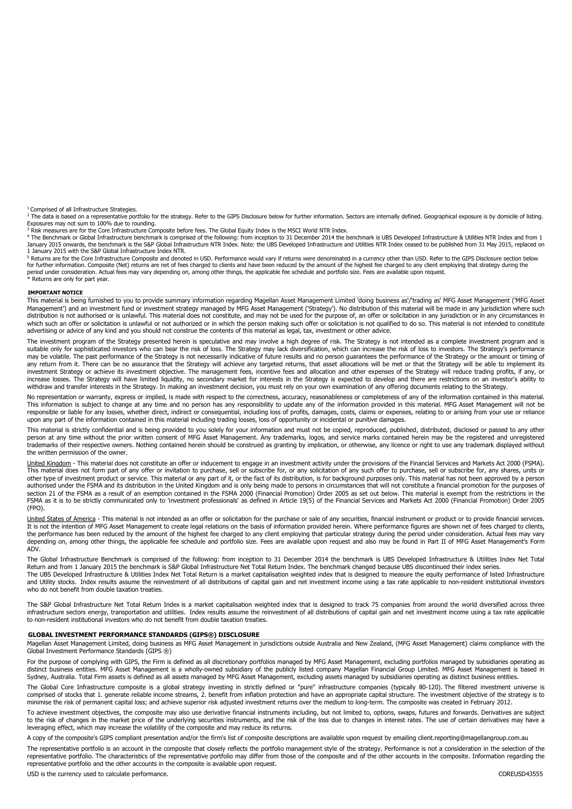<sup>1</sup> Comprised of all Infrastructure Strategies.

2 The data is based on a representative portfolio for the strategy. Refer to the GIPS Disclosure below for further information. Sectors are internally defined. Geographical exposure is by domicile of listing.

Exposures may not sum to 100% due to rounding.<br><sup>3</sup> Risk measures are for the Core Infrastructure Composite before fees. The Global Equity Index is the MSCI World NTR Index.<br><sup>4</sup> The Benchmark or Global Infrastructure benchm January 2015 onwards, the benchmark is the S&P Global Infrastructure NTR Index. Note: the UBS Developed Infrastructure and Utilities NTR Index ceased to be published from 31 May 2015, replaced on 1 January 2015 with the S&P Global Infrastructure Index NTR.

<sup>5</sup> Returns are for the Core Infrastructure Composite and denoted in USD. Performance would vary if returns were denominated in a currency other than USD. Refer to the GIPS Disclosure section below for further information. Composite (Net) returns are net of fees charged to clients and have been reduced by the amount of the highest fee charged to any client employing that strategy during the period under consideration. Actual fees may vary depending on, among other things, the applicable fee schedule and portfolio size. Fees are available upon request.<br>\* Returns are only for part year.

**IMPORTANT NOTICE**

This material is being furnished to you to provide summary information regarding Magellan Asset Management Limited 'doing business as'/'trading as' MFG Asset Management ('MFG Asset<br>Management') and an investment fund or in distribution is not authorised or is unlawful. This material does not constitute, and may not be used for the purpose of, an offer or solicitation in any jurisdiction or in any circumstances in distribution is not authoris which such an offer or solicitation is unlawful or not authorized or in which the person making such offer or solicitation is not qualified to do so. This material is not intended to constitute advertising or advice of any kind and you should not construe the contents of this material as legal, tax, investment or other advice.

The investment program of the Strategy presented herein is speculative and may involve a high degree of risk. The Strategy is not intended as a complete investment program and is suitable only for sophisticated investors who can bear the risk of loss. The Strategy may lack diversification, which can increase the risk of loss to investors. The Strategy's performance<br>may be volatile. The past perform any return from it. There can be no assurance that the Strategy will achieve any targeted returns, that asset allocations will be met or that the Strategy will be able to implement its investment Strategy or achieve its investment objective. The management fees, incentive fees and allocation and other expenses of the Strategy will reduce trading profits, if any, or increase losses. The Strategy will have limited liquidity, no secondary market for interests in the Strategy is expected to develop and there are restrictions on an investor's ability to withdraw and transfer interests in the Strategy. In making an investment decision, you must rely on your own examination of any offering documents relating to the Strategy.

No representation or warranty, express or implied, is made with respect to the correctness, accuracy, reasonableness or completeness of any of the information contained in this material.<br>This information is subject to chan responsible or liable for any losses, whether direct, indirect or consequential, including loss of profits, damages, costs, claims or expenses, relating to or arising from your use or reliance upon any part of the information contained in this material including trading losses, loss of opportunity or incidental or punitive damages.

This material is strictly confidential and is being provided to you solely for your information and must not be copied, reproduced, published, distributed, disclosed or passed to any other<br>person at any time without the pr the written permission of the owner.

United Kingdom - This material does not constitute an offer or inducement to engage in an investment activity under the provisions of the Financial Services and Markets Act 2000 (FSMA). This material does not form part of any offer or invitation to purchase, sell or subscribe for, or any solicitation of any such offer to purchase, sell or subscribe for, any shares, units or<br>other type of investment produc authorised under the FSMA and its distribution in the United Kingdom and is only being made to persons in circumstances that will not constitute a financial promotion for the purposes of section 21 of the FSMA as a result of an exemption contained in the FSMA 2000 (Financial Promotion) Order 2005 as set out below. This material is exempt from the restrictions in the FSMA as it is to be strictly communicated only to 'investment professionals' as defined in Article 19(5) of the Financial Services and Markets Act 2000 (Financial Promotion) Order 2005 (FPO).

United States of America - This material is not intended as an offer or solicitation for the purchase or sale of any securities, financial instrument or product or to provide financial services. It is not the intention of MFG Asset Management to create legal relations on the basis of information provided herein. Where performance figures are shown net of fees charged to clients, the performance has been reduced by the amount of the highest fee charged to any client employing that particular strategy during the period under consideration. Actual fees may vary depending on, among other things, the applicable fee schedule and portfolio size. Fees are available upon request and also may be found in Part II of MFG Asset Management's Form ADV.

The Global Infrastructure Benchmark is comprised of the following: from inception to 31 December 2014 the benchmark is UBS Developed Infrastructure & Utilities Index Net Total<br>Return and from 1 January 2015 the benchmark i The UBS Developed Infrastructure & Utilities Index Net Total Return is a market capitalisation weighted index that is designed to measure the equity performance of listed Infrastructure and Utility stocks. Index results assume the reinvestment of all distributions of capital gain and net investment income using a tax rate applicable to non-resident institutional investors who do not benefit from double taxation treaties.

The S&P Global Infrastructure Net Total Return Index is a market capitalisation weighted index that is designed to track 75 companies from around the world diversified across three infrastructure sectors energy, transportation and utilities. Index results assume the reinvestment of all distributions of capital gain and net investment income using a tax rate applicable to non-resident institutional investors who do not benefit from double taxation treaties.

#### **GLOBAL INVESTMENT PERFORMANCE STANDARDS (GIPS®) DISCLOSURE**

Magellan Asset Management Limited, doing business as MFG Asset Management in jurisdictions outside Australia and New Zealand, (MFG Asset Management) claims compliance with the Global Investment Performance Standards (GIPS ®)

For the purpose of complying with GIPS, the Firm is defined as all discretionary portfolios managed by MFG Asset Management, excluding portfolios managed by subsidiaries operating as<br>distinct business entities. MFG Asset M Sydney, Australia. Total Firm assets is defined as all assets managed by MFG Asset Management, excluding assets managed by subsidiaries operating as distinct business entities.

The Global Core Infrastructure composite is a global strategy investing in strictly defined or "pure" infrastructure companies (typically 80-120). The filtered investment universe is comprised of stocks that 1. generate reliable income streams, 2. benefit from inflation protection and have an appropriate capital structure. The investment objective of the strategy is to minimise the risk of permanent capital loss; and achieve superior risk adjusted investment returns over the medium to long-term. The composite was created in February 2012.

To achieve investment objectives, the composite may also use derivative financial instruments including, but not limited to, options, swaps, futures and forwards. Derivatives are subject<br>to the risk of changes in the marke leveraging effect, which may increase the volatility of the composite and may reduce its returns.

A copy of the composite's GIPS compliant presentation and/or the firm's list of composite descriptions are available upon request by emailing client.reporting@magellangroup.com.au

The representative portfolio is an account in the composite that closely reflects the portfolio management style of the strategy. Performance is not a consideration in the selection of the representative portfolio. The characteristics of the representative portfolio may differ from those of the composite and of the other accounts in the composite. Information regarding the representative portfolio and the other accounts in the composite is available upon request.

USD is the currency used to calculate performance. COREUSD43555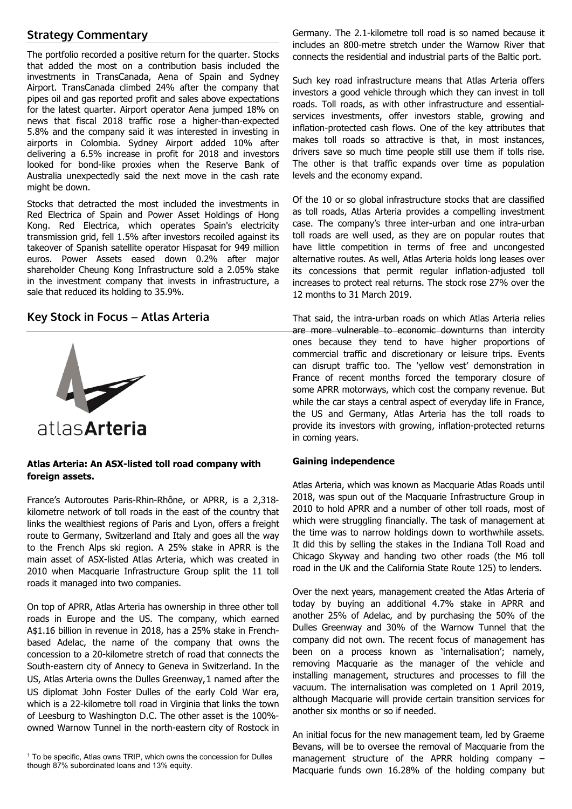# **Strategy Commentary**

The portfolio recorded a positive return for the quarter. Stocks that added the most on a contribution basis included the investments in TransCanada, Aena of Spain and Sydney Airport. TransCanada climbed 24% after the company that pipes oil and gas reported profit and sales above expectations for the latest quarter. Airport operator Aena jumped 18% on news that fiscal 2018 traffic rose a higher-than-expected 5.8% and the company said it was interested in investing in airports in Colombia. Sydney Airport added 10% after delivering a 6.5% increase in profit for 2018 and investors looked for bond-like proxies when the Reserve Bank of Australia unexpectedly said the next move in the cash rate might be down.

Stocks that detracted the most included the investments in Red Electrica of Spain and Power Asset Holdings of Hong Kong. Red Electrica, which operates Spain's electricity transmission grid, fell 1.5% after investors recoiled against its takeover of Spanish satellite operator Hispasat for 949 million euros. Power Assets eased down 0.2% after major shareholder Cheung Kong Infrastructure sold a 2.05% stake in the investment company that invests in infrastructure, a sale that reduced its holding to 35.9%.

### **Key Stock in Focus – Atlas Arteria**



## **Atlas Arteria: An ASX-listed toll road company with foreign assets.**

France's Autoroutes Paris-Rhin-Rhône, or APRR, is a 2,318 kilometre network of toll roads in the east of the country that links the wealthiest regions of Paris and Lyon, offers a freight route to Germany, Switzerland and Italy and goes all the way to the French Alps ski region. A 25% stake in APRR is the main asset of ASX-listed Atlas Arteria, which was created in 2010 when Macquarie Infrastructure Group split the 11 toll roads it managed into two companies.

On top of APRR, Atlas Arteria has ownership in three other toll roads in Europe and the US. The company, which earned A\$1.16 billion in revenue in 2018, has a 25% stake in Frenchbased Adelac, the name of the company that owns the concession to a 20-kilometre stretch of road that connects the South-eastern city of Annecy to Geneva in Switzerland. In the US, Atlas Arteria owns the Dulles Greenway,[1](#page-2-0) named after the US diplomat John Foster Dulles of the early Cold War era, which is a 22-kilometre toll road in Virginia that links the town of Leesburg to Washington D.C. The other asset is the 100% owned Warnow Tunnel in the north-eastern city of Rostock in

<span id="page-2-0"></span><sup>1</sup> To be specific, Atlas owns TRIP, which owns the concession for Dulles though 87% subordinated loans and 13% equity.

Germany. The 2.1-kilometre toll road is so named because it includes an 800-metre stretch under the Warnow River that connects the residential and industrial parts of the Baltic port.

Such key road infrastructure means that Atlas Arteria offers investors a good vehicle through which they can invest in toll roads. Toll roads, as with other infrastructure and essentialservices investments, offer investors stable, growing and inflation-protected cash flows. One of the key attributes that makes toll roads so attractive is that, in most instances, drivers save so much time people still use them if tolls rise. The other is that traffic expands over time as population levels and the economy expand.

Of the 10 or so global infrastructure stocks that are classified as toll roads, Atlas Arteria provides a compelling investment case. The company's three inter-urban and one intra-urban toll roads are well used, as they are on popular routes that have little competition in terms of free and uncongested alternative routes. As well, Atlas Arteria holds long leases over its concessions that permit regular inflation-adjusted toll increases to protect real returns. The stock rose 27% over the 12 months to 31 March 2019.

That said, the intra-urban roads on which Atlas Arteria relies are more vulnerable to economic downturns than intercity ones because they tend to have higher proportions of commercial traffic and discretionary or leisure trips. Events can disrupt traffic too. The 'yellow vest' demonstration in France of recent months forced the temporary closure of some APRR motorways, which cost the company revenue. But while the car stays a central aspect of everyday life in France, the US and Germany, Atlas Arteria has the toll roads to provide its investors with growing, inflation-protected returns in coming years.

#### **Gaining independence**

Atlas Arteria, which was known as Macquarie Atlas Roads until 2018, was spun out of the Macquarie Infrastructure Group in 2010 to hold APRR and a number of other toll roads, most of which were struggling financially. The task of management at the time was to narrow holdings down to worthwhile assets. It did this by selling the stakes in the Indiana Toll Road and Chicago Skyway and handing two other roads (the M6 toll road in the UK and the California State Route 125) to lenders.

Over the next years, management created the Atlas Arteria of today by buying an additional 4.7% stake in APRR and another 25% of Adelac, and by purchasing the 50% of the Dulles Greenway and 30% of the Warnow Tunnel that the company did not own. The recent focus of management has been on a process known as 'internalisation'; namely, removing Macquarie as the manager of the vehicle and installing management, structures and processes to fill the vacuum. The internalisation was completed on 1 April 2019, although Macquarie will provide certain transition services for another six months or so if needed.

An initial focus for the new management team, led by Graeme Bevans, will be to oversee the removal of Macquarie from the management structure of the APRR holding company – Macquarie funds own 16.28% of the holding company but